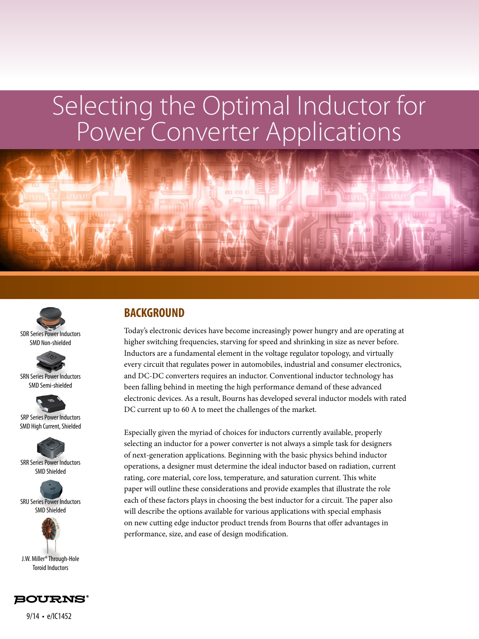



SMD Non-shielded



SRN Series Power Inductors SMD Semi-shielded

SRP Series Power Inductors SMD High Current, Shielded







Toroid Inductors



9/14 • e/IC1452

## **BACKGROUND**

Today's electronic devices have become increasingly power hungry and are operating at higher switching frequencies, starving for speed and shrinking in size as never before. Inductors are a fundamental element in the voltage regulator topology, and virtually every circuit that regulates power in automobiles, industrial and consumer electronics, and DC-DC converters requires an inductor. Conventional inductor technology has been falling behind in meeting the high performance demand of these advanced electronic devices. As a result, Bourns has developed several inductor models with rated DC current up to 60 A to meet the challenges of the market.

Especially given the myriad of choices for inductors currently available, properly selecting an inductor for a power converter is not always a simple task for designers of next-generation applications. Beginning with the basic physics behind inductor operations, a designer must determine the ideal inductor based on radiation, current rating, core material, core loss, temperature, and saturation current. This white paper will outline these considerations and provide examples that illustrate the role each of these factors plays in choosing the best inductor for a circuit. The paper also will describe the options available for various applications with special emphasis on new cutting edge inductor product trends from Bourns that offer advantages in performance, size, and ease of design modification.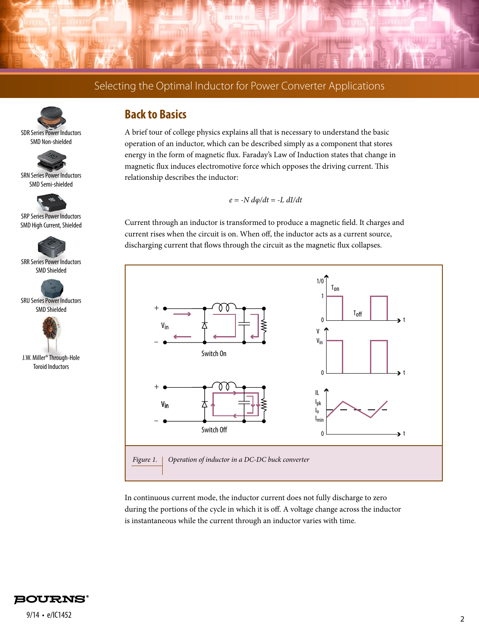





SRN Series Power Inductors SMD Semi-shielded



SRP Series Power Inductors SMD High Current, Shielded



SRR Series Power Inductors SMD Shielded



SRU Series Power Inductors SMD Shielded



J.W. Miller® Through-Hole Toroid Inductors

## **Back to Basics**

A brief tour of college physics explains all that is necessary to understand the basic operation of an inductor, which can be described simply as a component that stores energy in the form of magnetic flux. Faraday's Law of Induction states that change in magnetic flux induces electromotive force which opposes the driving current. This relationship describes the inductor:

*e = -N dφ/dt = -L dI/dt*

Current through an inductor is transformed to produce a magnetic field. It charges and current rises when the circuit is on. When off, the inductor acts as a current source, discharging current that flows through the circuit as the magnetic flux collapses.



In continuous current mode, the inductor current does not fully discharge to zero during the portions of the cycle in which it is off. A voltage change across the inductor is instantaneous while the current through an inductor varies with time.

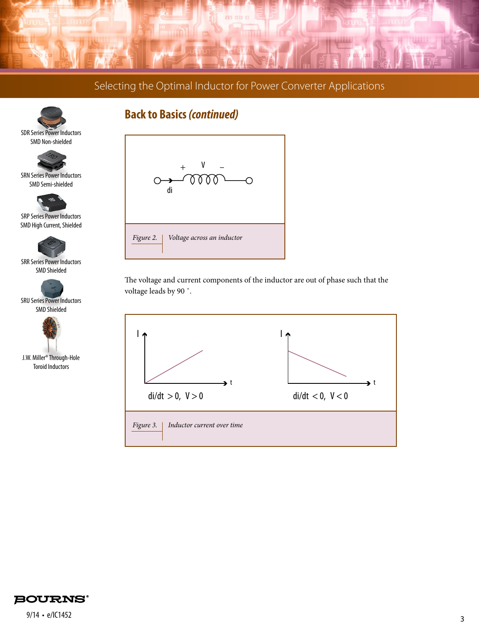



SRN Series Power Inductors SMD Semi-shielded

SRP Series Power Inductors SMD High Current, Shielded

SRR Series Power Inductors SMD Shielded

SRU Series Power Inductors SMD Shielded

J.W. Miller® Through-Hole Toroid Inductors

## **Back to Basics** *(continued)*



The voltage and current components of the inductor are out of phase such that the voltage leads by 90 ˚.



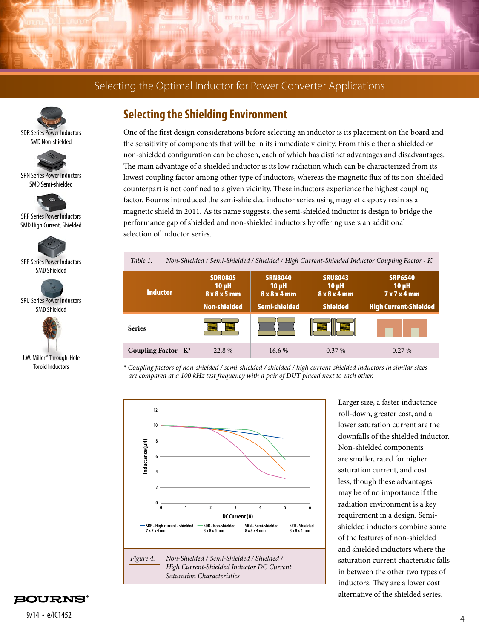





SRN Series Power Inductors SMD Semi-shielded



SRP Series Power Inductors SMD High Current, Shielded



SRR Series Power Inductors SMD Shielded



SRU Series Power Inductors SMD Shielded



J.W. Miller® Through-Hole Toroid Inductors

## **Selecting the Shielding Environment**

One of the first design considerations before selecting an inductor is its placement on the board and the sensitivity of components that will be in its immediate vicinity. From this either a shielded or non-shielded configuration can be chosen, each of which has distinct advantages and disadvantages. The main advantage of a shielded inductor is its low radiation which can be characterized from its lowest coupling factor among other type of inductors, whereas the magnetic flux of its non-shielded counterpart is not confined to a given vicinity. These inductors experience the highest coupling factor. Bourns introduced the semi-shielded inductor series using magnetic epoxy resin as a magnetic shield in 2011. As its name suggests, the semi-shielded inductor is design to bridge the performance gap of shielded and non-shielded inductors by offering users an additional selection of inductor series.



*\* Coupling factors of non-shielded / semi-shielded / shielded / high current-shielded inductors in similar sizes are compared at a 100 kHz test frequency with a pair of DUT placed next to each other.*



Larger size, a faster inductance roll-down, greater cost, and a lower saturation current are the downfalls of the shielded inductor. Non-shielded components are smaller, rated for higher saturation current, and cost less, though these advantages may be of no importance if the radiation environment is a key requirement in a design. Semishielded inductors combine some of the features of non-shielded and shielded inductors where the saturation current chacteristic falls in between the other two types of inductors. They are a lower cost alternative of the shielded series.

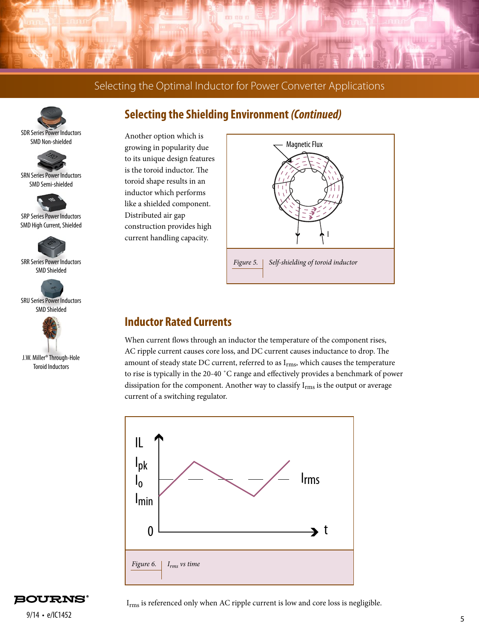





SRN Series Power Inductors SMD Semi-shielded



SRP Series Power Inductors SMD High Current, Shielded



SRR Series Power Inductors SMD Shielded



SRU Series Power Inductors SMD Shielded



J.W. Miller® Through-Hole Toroid Inductors

## **Selecting the Shielding Environment** *(Continued)*

Another option which is growing in popularity due to its unique design features is the toroid inductor. The toroid shape results in an inductor which performs like a shielded component. Distributed air gap construction provides high current handling capacity.



#### **Inductor Rated Currents**

When current flows through an inductor the temperature of the component rises, AC ripple current causes core loss, and DC current causes inductance to drop. The amount of steady state DC current, referred to as  $I_{rms}$ , which causes the temperature to rise is typically in the 20-40 ˚C range and effectively provides a benchmark of power dissipation for the component. Another way to classify  $I_{rms}$  is the output or average current of a switching regulator.



**BOURNS°** 

Irms is referenced only when AC ripple current is low and core loss is negligible.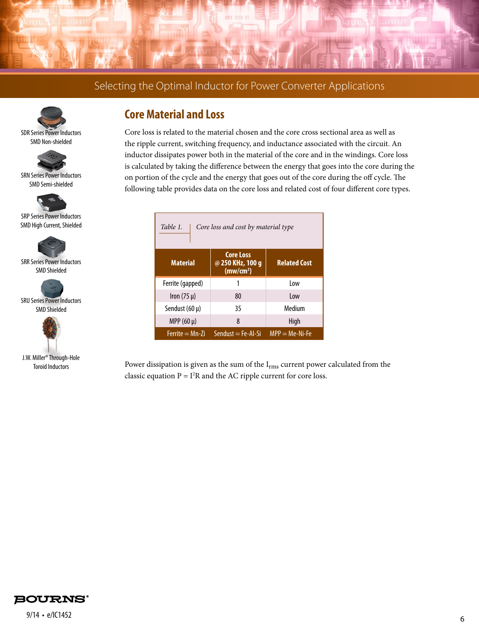





SRN Series Power Inductors SMD Semi-shielded



SRP Series Power Inductors SMD High Current, Shielded



SRR Series Power Inductors SMD Shielded



SRU Series Power Inductors SMD Shielded



J.W. Miller® Through-Hole Toroid Inductors

## **Core Material and Loss**

Core loss is related to the material chosen and the core cross sectional area as well as the ripple current, switching frequency, and inductance associated with the circuit. An inductor dissipates power both in the material of the core and in the windings. Core loss is calculated by taking the difference between the energy that goes into the core during the on portion of the cycle and the energy that goes out of the core during the off cycle. The following table provides data on the core loss and related cost of four different core types.

| Table 1.<br>Core loss and cost by material type |                                                               |                     |
|-------------------------------------------------|---------------------------------------------------------------|---------------------|
| <b>Material</b>                                 | <b>Core Loss</b><br>@ 250 KHz, 100 g<br>(mw/cm <sup>3</sup> ) | <b>Related Cost</b> |
| Ferrite (gapped)                                |                                                               | 10w                 |
| Iron $(75 \mu)$                                 | 80                                                            | 10w                 |
| Sendust $(60 \mu)$                              | 35                                                            | Medium              |
| MPP $(60 \mu)$                                  | 8                                                             | High                |
| $Ferrite = Mn-Zi$                               | $Sendust = Fe-Al-Si$                                          | $MPP = Me-Ni-Fe$    |

Power dissipation is given as the sum of the I<sub>rms</sub> current power calculated from the classic equation  $P = I^2R$  and the AC ripple current for core loss.

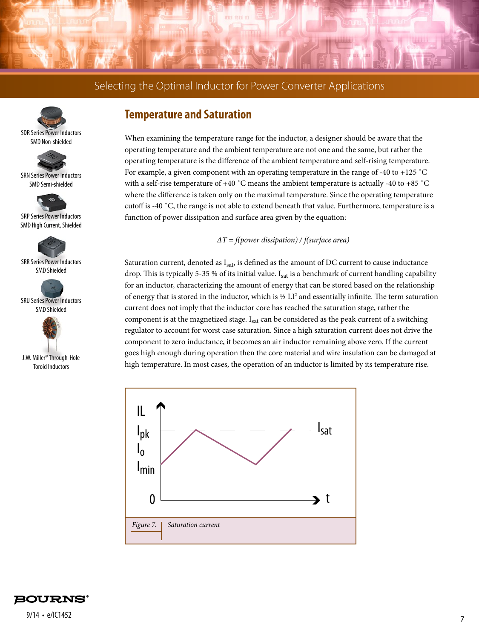





SRN Series Power Inductors SMD Semi-shielded



SRP Series Power Inductors SMD High Current, Shielded



SRR Series Power Inductors SMD Shielded



SRU Series Power Inductors SMD Shielded



J.W. Miller® Through-Hole Toroid Inductors

#### **Temperature and Saturation**

When examining the temperature range for the inductor, a designer should be aware that the operating temperature and the ambient temperature are not one and the same, but rather the operating temperature is the difference of the ambient temperature and self-rising temperature. For example, a given component with an operating temperature in the range of -40 to +125 ˚C with a self-rise temperature of  $+40\degree$ C means the ambient temperature is actually -40 to  $+85\degree$ C where the difference is taken only on the maximal temperature. Since the operating temperature cutoff is -40 ˚C, the range is not able to extend beneath that value. Furthermore, temperature is a function of power dissipation and surface area given by the equation:

#### *ΔT = f(power dissipation) / f(surface area)*

Saturation current, denoted as  $I_{sat}$ , is defined as the amount of DC current to cause inductance drop. This is typically 5-35 % of its initial value. I<sub>sat</sub> is a benchmark of current handling capability for an inductor, characterizing the amount of energy that can be stored based on the relationship of energy that is stored in the inductor, which is  $\frac{1}{2}$  LI<sup>2</sup> and essentially infinite. The term saturation current does not imply that the inductor core has reached the saturation stage, rather the component is at the magnetized stage.  $I_{sat}$  can be considered as the peak current of a switching regulator to account for worst case saturation. Since a high saturation current does not drive the component to zero inductance, it becomes an air inductor remaining above zero. If the current goes high enough during operation then the core material and wire insulation can be damaged at high temperature. In most cases, the operation of an inductor is limited by its temperature rise.



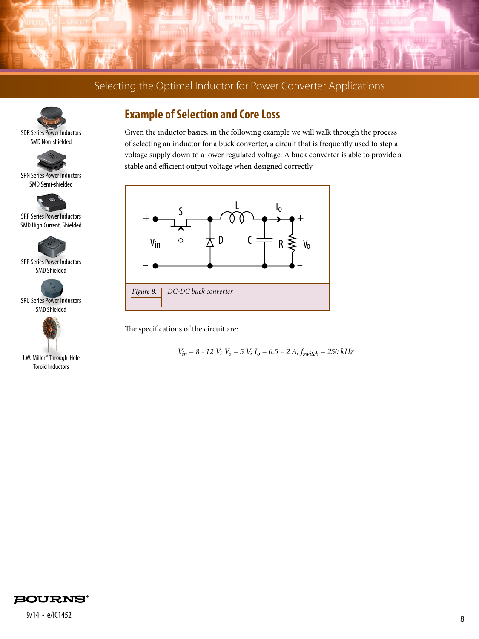





SRN Series Power Inductors SMD Semi-shielded



SRP Series Power Inductors SMD High Current, Shielded



SRR Series Power Inductors SMD Shielded



SRU Series Power Inductors SMD Shielded



J.W. Miller® Through-Hole Toroid Inductors

## **Example of Selection and Core Loss**

Given the inductor basics, in the following example we will walk through the process of selecting an inductor for a buck converter, a circuit that is frequently used to step a voltage supply down to a lower regulated voltage. A buck converter is able to provide a stable and efficient output voltage when designed correctly.



The specifications of the circuit are:

 $V_{in}$  = 8 - 12 V;  $V_0$  = 5 V;  $I_0$  = 0.5 - 2 A;  $f_{switch}$  = 250 kHz

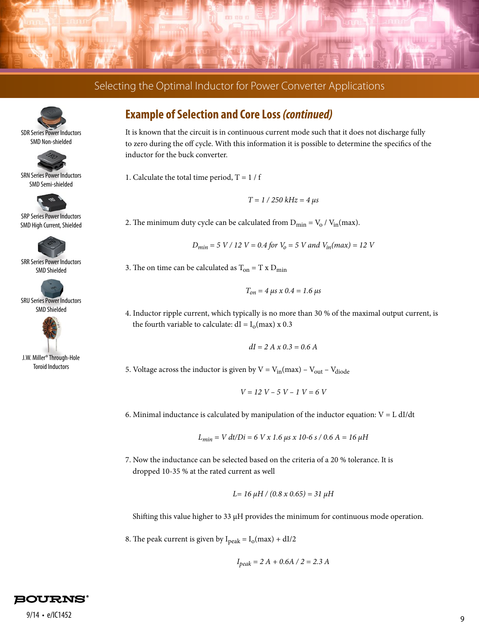



SMD Non-shielded



SRN Series Power Inductors SMD Semi-shielded



SRP Series Power Inductors SMD High Current, Shielded



SRR Series Power Inductors SMD Shielded



SRU Series Power Inductors SMD Shielded



J.W. Miller® Through-Hole Toroid Inductors

## **Example of Selection and Core Loss** *(continued)*

It is known that the circuit is in continuous current mode such that it does not discharge fully to zero during the off cycle. With this information it is possible to determine the specifics of the inductor for the buck converter.

1. Calculate the total time period,  $T = 1 / f$ 

$$
T = 1 / 250 kHz = 4 \mu s
$$

2. The minimum duty cycle can be calculated from  $D_{\text{min}} = V_0 / V_{\text{in}}(\text{max})$ .

$$
D_{min} = 5 \ V / 12 \ V = 0.4 \ for \ V_0 = 5 \ V \ and \ V_{in}(max) = 12 \ V
$$

3. The on time can be calculated as  $T_{on} = T \times D_{min}$ 

$$
T_{on} = 4 \,\mu s \, x \, 0.4 = 1.6 \,\mu s
$$

4. Inductor ripple current, which typically is no more than 30 % of the maximal output current, is the fourth variable to calculate:  $dI = I_0(max) \times 0.3$ 

$$
dI = 2 A x 0.3 = 0.6 A
$$

5. Voltage across the inductor is given by  $V = V_{in}$ (max) –  $V_{out}$  –  $V_{diode}$ 

$$
V = 12 V - 5 V - 1 V = 6 V
$$

6. Minimal inductance is calculated by manipulation of the inductor equation:  $V = L dI/dt$ 

$$
L_{min} = V dt/Di = 6 V x 1.6 \mu s x 10-6 s / 0.6 A = 16 \mu H
$$

7. Now the inductance can be selected based on the criteria of a 20 % tolerance. It is dropped 10-35 % at the rated current as well

$$
L = 16 \mu H / (0.8 \times 0.65) = 31 \mu H
$$

Shifting this value higher to 33 μH provides the minimum for continuous mode operation.

8. The peak current is given by  $I_{peak} = I_0(max) + dI/2$ 

$$
I_{peak} = 2 A + 0.6A / 2 = 2.3 A
$$

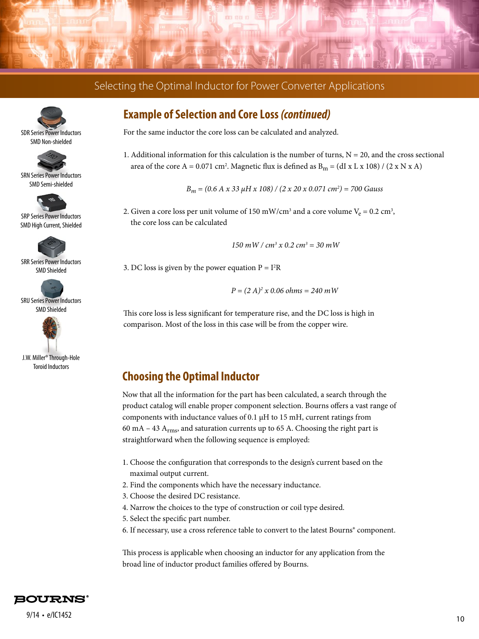





SRN Series Power Inductors SMD Semi-shielded



SRP Series Power Inductors SMD High Current, Shielded



SRR Series Power Inductors SMD Shielded



SRU Series Power Inductors SMD Shielded



J.W. Miller® Through-Hole Toroid Inductors

## **Example of Selection and Core Loss** *(continued)*

For the same inductor the core loss can be calculated and analyzed.

1. Additional information for this calculation is the number of turns,  $N = 20$ , and the cross sectional area of the core A = 0.071 cm<sup>2</sup>. Magnetic flux is defined as B<sub>m</sub> = (dI x L x 108) / (2 x N x A)

*Bm = (0.6 A x 33 μH x 108) / (2 x 20 x 0.071 cm2 ) = 700 Gauss*

2. Given a core loss per unit volume of 150 mW/cm<sup>3</sup> and a core volume  $V_e = 0.2 \text{ cm}^3$ , the core loss can be calculated

 *150 mW / cm3 x 0.2 cm3 = 30 mW*

3. DC loss is given by the power equation  $P = I<sup>2</sup>R$ 

*P = (2 A)2 x 0.06 ohms = 240 mW*

This core loss is less significant for temperature rise, and the DC loss is high in comparison. Most of the loss in this case will be from the copper wire.

### **Choosing the Optimal Inductor**

Now that all the information for the part has been calculated, a search through the product catalog will enable proper component selection. Bourns offers a vast range of components with inductance values of 0.1 μH to 15 mH, current ratings from 60 mA – 43  $A<sub>rms</sub>$ , and saturation currents up to 65 A. Choosing the right part is straightforward when the following sequence is employed:

- 1. Choose the configuration that corresponds to the design's current based on the maximal output current.
- 2. Find the components which have the necessary inductance.
- 3. Choose the desired DC resistance.
- 4. Narrow the choices to the type of construction or coil type desired.
- 5. Select the specific part number.
- 6. If necessary, use a cross reference table to convert to the latest Bourns® component.

This process is applicable when choosing an inductor for any application from the broad line of inductor product families offered by Bourns.

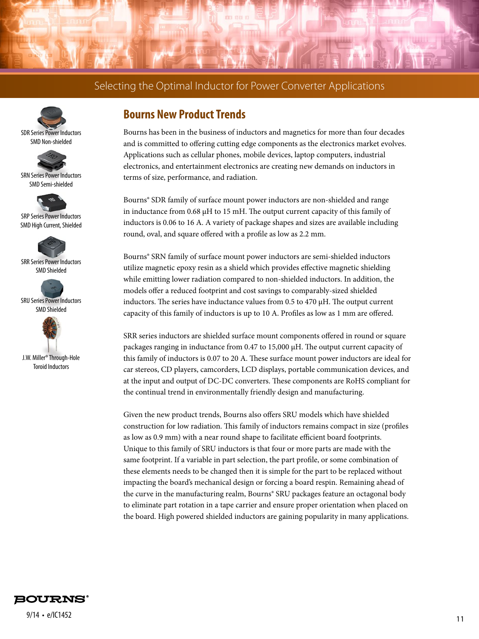





SRN Series Power Inductors SMD Semi-shielded



SRP Series Power Inductors SMD High Current, Shielded



SRR Series Power Inductors SMD Shielded



SRU Series Power Inductors SMD Shielded



J.W. Miller® Through-Hole Toroid Inductors

## **Bourns New Product Trends**

Bourns has been in the business of inductors and magnetics for more than four decades and is committed to offering cutting edge components as the electronics market evolves. Applications such as cellular phones, mobile devices, laptop computers, industrial electronics, and entertainment electronics are creating new demands on inductors in terms of size, performance, and radiation.

Bourns® SDR family of surface mount power inductors are non-shielded and range in inductance from 0.68 μH to 15 mH. The output current capacity of this family of inductors is 0.06 to 16 A. A variety of package shapes and sizes are available including round, oval, and square offered with a profile as low as 2.2 mm.

Bourns® SRN family of surface mount power inductors are semi-shielded inductors utilize magnetic epoxy resin as a shield which provides effective magnetic shielding while emitting lower radiation compared to non-shielded inductors. In addition, the models offer a reduced footprint and cost savings to comparably-sized shielded inductors. The series have inductance values from 0.5 to 470 µH. The output current capacity of this family of inductors is up to 10 A. Profiles as low as 1 mm are offered.

SRR series inductors are shielded surface mount components offered in round or square packages ranging in inductance from 0.47 to 15,000 μH. The output current capacity of this family of inductors is 0.07 to 20 A. These surface mount power inductors are ideal for car stereos, CD players, camcorders, LCD displays, portable communication devices, and at the input and output of DC-DC converters. These components are RoHS compliant for the continual trend in environmentally friendly design and manufacturing.

Given the new product trends, Bourns also offers SRU models which have shielded construction for low radiation. This family of inductors remains compact in size (profiles as low as 0.9 mm) with a near round shape to facilitate efficient board footprints. Unique to this family of SRU inductors is that four or more parts are made with the same footprint. If a variable in part selection, the part profile, or some combination of these elements needs to be changed then it is simple for the part to be replaced without impacting the board's mechanical design or forcing a board respin. Remaining ahead of the curve in the manufacturing realm, Bourns® SRU packages feature an octagonal body to eliminate part rotation in a tape carrier and ensure proper orientation when placed on the board. High powered shielded inductors are gaining popularity in many applications.

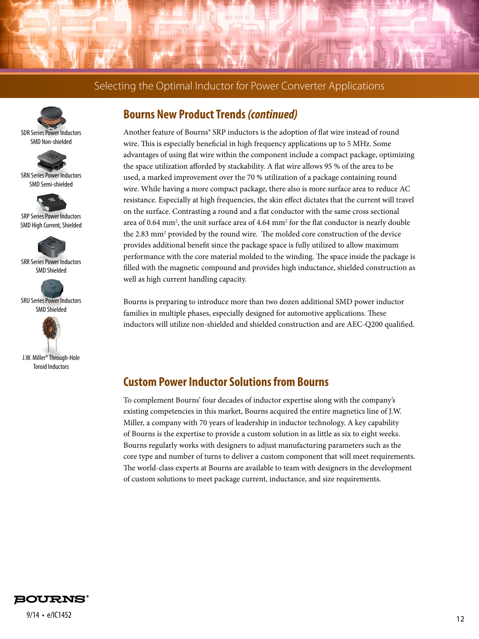





SRN Series Power Inductors SMD Semi-shielded



SRP Series Power Inductors SMD High Current, Shielded



SRR Series Power Inductors SMD Shielded



SRU Series Power Inductors SMD Shielded



J.W. Miller® Through-Hole Toroid Inductors

## **Bourns New Product Trends** *(continued)*

Another feature of Bourns® SRP inductors is the adoption of flat wire instead of round wire. This is especially beneficial in high frequency applications up to 5 MHz. Some advantages of using flat wire within the component include a compact package, optimizing the space utilization afforded by stackability. A flat wire allows 95 % of the area to be used, a marked improvement over the 70 % utilization of a package containing round wire. While having a more compact package, there also is more surface area to reduce AC resistance. Especially at high frequencies, the skin effect dictates that the current will travel on the surface. Contrasting a round and a flat conductor with the same cross sectional area of 0.64 mm<sup>2</sup>, the unit surface area of 4.64 mm<sup>2</sup> for the flat conductor is nearly double the 2.83 mm<sup>2</sup> provided by the round wire. The molded core construction of the device provides additional benefit since the package space is fully utilized to allow maximum performance with the core material molded to the winding. The space inside the package is filled with the magnetic compound and provides high inductance, shielded construction as well as high current handling capacity.

Bourns is preparing to introduce more than two dozen additional SMD power inductor families in multiple phases, especially designed for automotive applications. These inductors will utilize non-shielded and shielded construction and are AEC-Q200 qualified.

### **Custom Power Inductor Solutions from Bourns**

To complement Bourns' four decades of inductor expertise along with the company's existing competencies in this market, Bourns acquired the entire magnetics line of J.W. Miller, a company with 70 years of leadership in inductor technology. A key capability of Bourns is the expertise to provide a custom solution in as little as six to eight weeks. Bourns regularly works with designers to adjust manufacturing parameters such as the core type and number of turns to deliver a custom component that will meet requirements. The world-class experts at Bourns are available to team with designers in the development of custom solutions to meet package current, inductance, and size requirements.